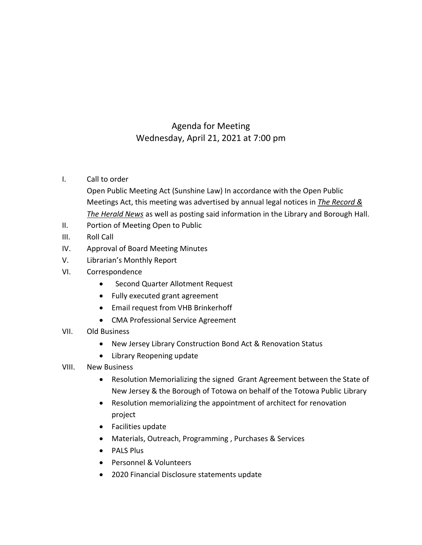## Agenda for Meeting Wednesday, April 21, 2021 at 7:00 pm

## I. Call to order

- Open Public Meeting Act (Sunshine Law) In accordance with the Open Public Meetings Act, this meeting was advertised by annual legal notices in *The Record & The Herald News* as well as posting said information in the Library and Borough Hall.
- II. Portion of Meeting Open to Public
- III. Roll Call
- IV. Approval of Board Meeting Minutes
- V. Librarian's Monthly Report
- VI. Correspondence
	- Second Quarter Allotment Request
	- Fully executed grant agreement
	- Email request from VHB Brinkerhoff
	- CMA Professional Service Agreement
- VII. Old Business
	- New Jersey Library Construction Bond Act & Renovation Status
	- Library Reopening update
- VIII. New Business
	- Resolution Memorializing the signed Grant Agreement between the State of New Jersey & the Borough of Totowa on behalf of the Totowa Public Library
	- Resolution memorializing the appointment of architect for renovation project
	- Facilities update
	- Materials, Outreach, Programming , Purchases & Services
	- PALS Plus
	- Personnel & Volunteers
	- 2020 Financial Disclosure statements update